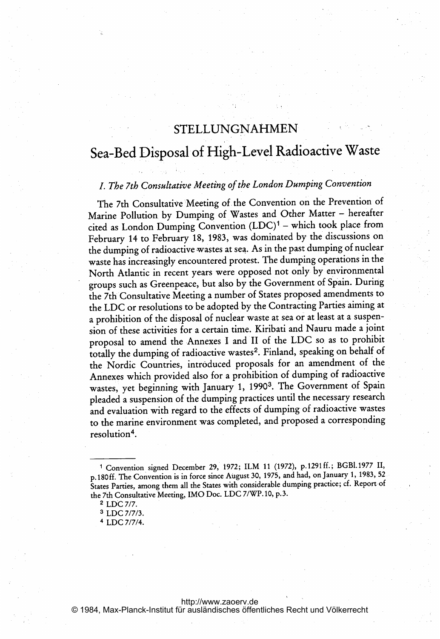# STELLUNGNAHMEN

# Sea-Bed Disposal of High-Level Radioactive Waste

# I. The 7th Consultative Meeting of the London Dumping Convention

The 7th Consultative Meeting of the Convention on the Prevention of Marine Pollution by Dumping of Wastes and Other Matter - hereafter cited as London Dumping Convention  $(LDC)^1$  – which took place from February 14 to February 18, 1983, was dominated by the discussions on the dumping of radioactive wastes at sea. As in the past dumping of nuclear waste has increasingly encountered protest. The dumping operations in the North Atlantic in recent years were opposed not only by environmental groups such as Greenpeace, but also by the Government of Spain. During the 7th Consultative Meeting <sup>a</sup> number of States proposed amendments to the LDC or resolutions to be adopted by the Contracting Parties aiming at <sup>a</sup> prohibition of the disposal of nuclear waste at sea or at least at <sup>a</sup> suspension of these activities for <sup>a</sup> certain time. Kiribati and Nauru made <sup>a</sup> joint proposal to amend the Annexes <sup>I</sup> and II of the LDC so as to prohibit totally the dumping of radioactive wastes<sup>2</sup>. Finland, speaking on behalf of the Nordic Countries, introduced proposals for an amendment of the Annexes which provided also for <sup>a</sup> prohibition of dumping of radioactive wastes, yet beginning with January 1, 19903. The Government of Spain pleaded a suspension of the dumping practices until the necessary research and evaluation with regard to the effects of dumping of radioactive wastes to the marine environment was completed, and proposed a corresponding resolution<sup>4</sup>.

<sup>1</sup> Convention signed December 29, 1972; ILM <sup>11</sup> (1972), p.1291ff.; BGBI.1977 11, p. <sup>180</sup> ff. The Convention is in force since August 30, 1975, and had, on January 1, 1983, <sup>52</sup> States Parties, among them all the States with considerable dumping practice; cf. Report of the 7th Consultative Meeting, IMO Doc. LDC 7/WP.10, p.3.

<sup>2</sup> LDC 7/7.

<sup>3</sup> LDC 7/7/3.

<sup>4</sup> LDC 7/7/4.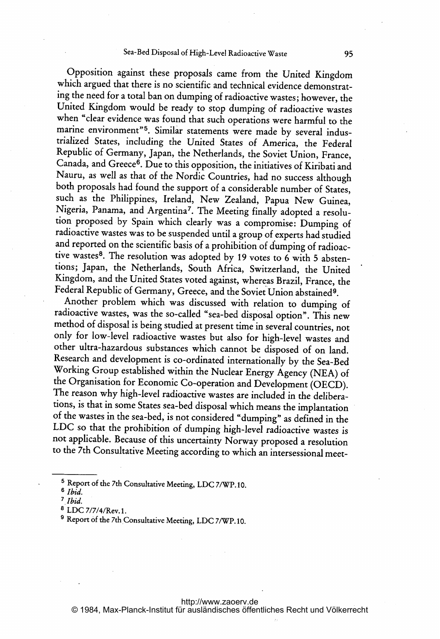### Sea-Bed Disposal of High-Level Radioactive Waste 95

Opposition against these proposals came from the United Kingdom which argued that there is no scientific and technical evidence demonstrating the need for <sup>a</sup> total ban on dumping of radioactive wastes; however, the United Kingdom would be ready to stop dumping of radioactive wastes when "clear evidence was found that such operations were harmful to the marine environment"<sup>5</sup>. Similar statements were made by several industrialized States, including the United States of America, the Federal Republic of Germany, Japan, the Netherlands, the Soviet Union, France, Canada, and Greece<sup>6</sup>. Due to this opposition, the initiatives of Kiribati and Nauru, as well as that of the Nordic Countries, had no success although both proposals had found the support of <sup>a</sup> considerable number of States, such as the Philippines, Ireland, New Zealand, Papua New Guinea, Nigeria, Panama, and Argentina7. The Meeting finally adopted <sup>a</sup> resolution proposed by Spain which clearly was <sup>a</sup> compromise: Dumping of radioactive wastes was to be suspended until <sup>a</sup> group of experts had studied and reported on the scientific basis of <sup>a</sup> prohibition of dumping of radioactive wastes<sup>8</sup>. The resolution was adopted by 19 votes to 6 with 5 abstentions; Japan, the Netherlands, South Africa, Switzerland, the United Kingdom, and the United States voted against, whereas Brazil, France, the Federal Republic of Germany, Greece, and the Soviet Union abstained9.

Another problem which was discussed with relation to dumping of radioactive wastes, was the so-called "sea-bed disposal option". This new method of disposal is being studied at present time in several countries, not only for low-level radioactive wastes but also for high-level wastes and other ultra-hazardous substances which cannot be disposed of on land. Research and development is co-ordinated internationally by the Sea-Bed Working Group established within the Nuclear Energy Agency (NEA) of the Organisation for Economic Co-operation and Development (OECD). The reason why high-level radioactive wastes are included in the deliberations, is that in some States sea-bed disposal which means the implantation of the wastes in the sea-bed, is not considered "dumping" as defined in the LDC so that the prohibition of dumping high-level radioactive wastes is not applicable. Because of this uncertainty Norway proposed <sup>a</sup> resolution to the 7th Consultative Meeting according to which an intersessional meet-

<sup>5</sup> Report of the 7th Consultative Meeting, LDC 7/WP. 10.

 $6$  *Ibid.* 

<sup>7</sup> Ibid.

<sup>8</sup> LDC 7/7/4/Rev. 1.

<sup>&</sup>lt;sup>9</sup> Report of the 7th Consultative Meeting, LDC 7/WP.10.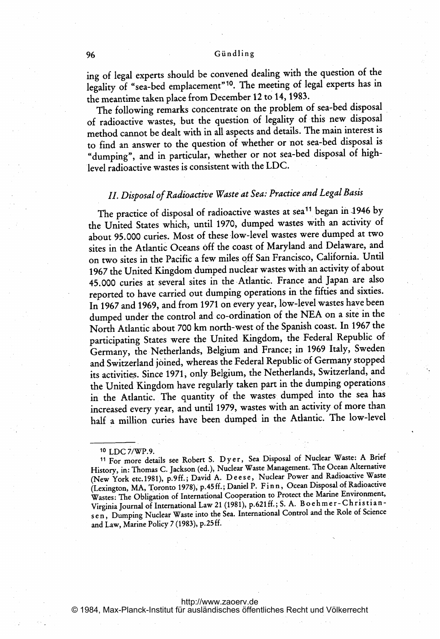#### 96 Gündling

ing of legal experts should be convened dealing with the question of the legality of "sea-bed emplacement"<sup>10</sup>. The meeting of legal experts has in the meantime taken place from December 12 to 14, 1983.

The following remarks concentrate on the problem of sea-bed disposal of radioactive wastes, but the question of legality of this new disposal method cannot be dealt with in all aspects and details. The main interest is to find an answer to the question of whether or not sea-bed disposal is "dumping", and in particular, whether or not sea-bed disposal of high-Ievel radioactive wastes is consistent with the LDC.

## II. Disposal of Radioactive Waste at Sea: Practice and Legal Basis

The practice of disposal of radioactive wastes at sea<sup>11</sup> began in 1946 by the United States which, until 1970, dumped wastes with an activity of about 95.000 curies. Most of these low-level wastes were dumped at two sites in the Atlantic Oceans off the coast of Maryland and Delaware, and on two sites in the Pacific <sup>a</sup> few miles off San Francisco, California. Until 1967 the United Kingdom dumped nuclear wastes with an activity of about 45. 000 curies at several sites in the Atlantic. France and, Japan are also reported to have carried out dumping operations in the fifties and sixties. In 1967 and 1969, and from 1971 on every year, low-level wastes have been dumped under the control and co-ordination of the NEA on <sup>a</sup> site in the North Atlantic about <sup>700</sup> km north-west of the Spanish coast. In <sup>1967</sup> the participating States were the United Kingdom, the Federal Republic of Germany, the Netherlands, Belgium and France; in 1969 Italy, Sweden and Switzerland joined, whereas the Federal Republic of Germany stopped its activities. Since 1971, only Belgium, the Netherlands, Switzerland, and the United Kingdom have regularly taken part in the dumping operations in the Atlantic. The quantity of the wastes dumped into the sea has increased every year, and until 1979, wastes with an activity of more than half <sup>a</sup> million curies have been dumped in the Atlantic. The low-level

For more details see Robert S. Dyer, Sea Disposal of Nuclear Waste: A Brief History, in: Thomas C. Jackson (ed.), Nuclear Waste Management. The Ocean Alternative (New York etc. 1981), p.9ff.; David A. Deese, Nuclear Power and Radioactive Waste (Lexington, MA, Toronto 1978), p. <sup>45</sup> ff.; Daniel P. F inn, Ocean Disposal of Radioactive Wastes: The Obligation of International Cooperation to Protect the Marine Environment, Wastes: The Obigation of International Law 21 (1981), p.621 ff.; S. A. B o eh m e r - Christian sen, Dumping Nuclear Waste into the Sea. International Control and the Role of Science and Law, Marine Policy <sup>7</sup> (1983), p. 25 ff.

<http://www.zaoerv.de> © 1984, Max-Planck-Institut für ausländisches öffentliches Recht und Völkerrecht

<sup>10</sup> LDC 7/WP.9.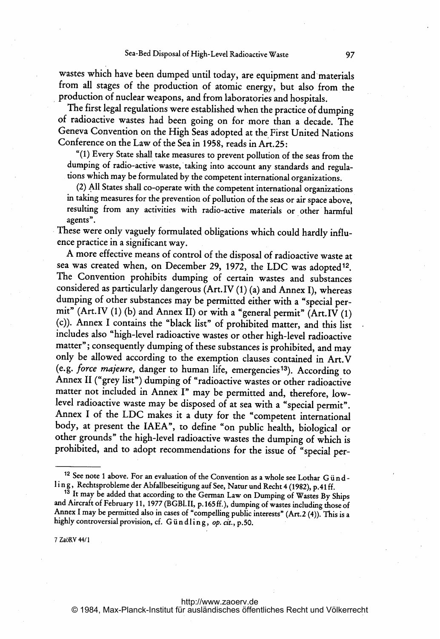wastes which have been dumped until today, are equipment and materials from all stages of the production of atomic energy, but also from the production of nuclear weapons, and from laboratories and hospitals.

The first legal regulations were established when the practice of dumping of radioactive wastes had been going on for more than <sup>a</sup> decade. The Geneva Convention on the High Seas adopted at the First United Nations Conference on the Law of the Sea in 1958, reads in Art.25:

"(I) Every State shall take measures to prevent pollution of the seas from the dumping of radio-active waste, taking into account any standards and regulations which may be formulated by the competent international organizations.

(2) All States shall co-operate with the competent international organizations in taking measures for the prevention of pollution of the seas or air space above, resulting from any activities with radio-active materials or other harmful agents".

These were only vaguely formulated obligations which could hardly influence practice in <sup>a</sup> significant way.

A more effective means of control of the disposal of radioactive waste at sea was created when, on December 29, 1972, the LDC was adopted<sup>12</sup>. The Convention prohibits dumping of certain wastes and substances considered as particularly dangerous (Art. IV (1) (a) and Annex I), whereas dumping of other substances may be permitted either with <sup>a</sup> "special permit" (Art.IV (1) (b) and Annex 11) or with <sup>a</sup> "general permit" (Art.IV (1) (c)). Annex <sup>I</sup> contains the "black list" of prohibited matter, and this list includes also "high-level radioactive wastes or other high-level radioactive matter"; consequently dumping of these substances is prohibited, and may only be allowed according to the exemption clauses contained in Art.V (e.g. force majeure, danger to human life, emergencies13). According to Annex <sup>11</sup> ("grey list") dumping of "radioactive wastes or other radioactive matter not included in Annex I" may be permitted and, therefore, lowlevel radioactive waste may be disposed of at sea with <sup>a</sup> "special permit". Annex <sup>I</sup> of the LDC makes it <sup>a</sup> duty for the "competent international body, at present the IAEA", to define "on public health, biological or other grounds" the high-level radioactive wastes the dumping of which is prohibited, and to adopt recommendations for the issue of "special per-

7 Za6KY 44/1

<sup>&</sup>lt;sup>12</sup> See note 1 above. For an evaluation of the Convention as a whole see Lothar G undling, Rechtsprobleme der Abfallbeseitigung auf See, Natur und Recht 4 (1982), p.41 ff.

<sup>&</sup>lt;sup>13</sup> It may be added that according to the German Law on Dumping of Wastes By Ships and Aircraft of February 11, 1977 (BGBI.II, p. 165ff.), dumping of wastes including those of Annex I may be permitted also in cases of "compelling public interests" (Art.2 (4)). This is a highly controversial provision, cf. Gündling, op. cit., p.50.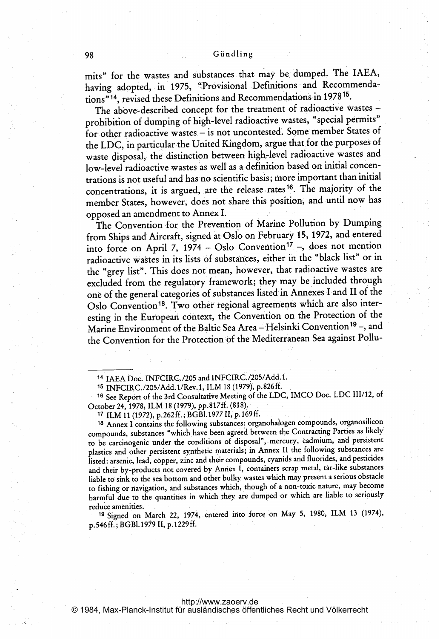mits" for the Wastes and substances that may be, dumped. The IAEA, having adopted, in 1975, "Provisional Definitions and Recommendations"14, revised these Definitions and Recommendations in 197815.

The above-described concept for the treatment of radioactive wastes prohibition of dumping of high-level radioactive wastes, "special permits" for other radioactive wastes – is not uncontested. Some member States of the LDC, in particular the United Kingdom, argue that for the purposes of waste disposal, the distinction between high-level radioactive wastes and low-level radioactive wastes as well as a definition based on initial concentrations is not useful and has no scientific basis; more important than initial concentrations, it is argued, are the release rates<sup>16</sup>. The majority of the member States, however, does not share this position, and until now has opposed an amendment to Annex 1.

The Convention for the Prevention of Marine Pollution by Dumping from Ships and Aircraft, signed at Oslo on February\* 15,1972, and entered into force on April 7, 1974 - Oslo Convention<sup>17</sup> -, does not mention radioactive wastes in its lists of substances, either in the "black list" or in the "grey list". This does not mean, however, that radioactive wastes are excluded from the regulatory framework; they may be included through one of the general categories of substances listed in Annexes I and II of the Oslo Convention<sup>18</sup>. Two other regional agreements which are also interesting in the European context, the Convention on the Protection of the Marine Environment of the Baltic Sea Area - Helsinki Convention<sup>19</sup> -, and the Convention for the Protection of the Mediterranean Sea against Pollu-

<sup>14</sup> IAEA Doc. INFCIRC.. /205 and INFCIRC./205/Add. 1.

<sup>15</sup> INFCIRC. /205/Add. <sup>I</sup> /Rev. 1, ILM <sup>18</sup> (1979), p. <sup>826</sup> ff.

<sup>16</sup> See Report of the 3rd Consultative- Meeting of the LDC, IMCO Doc. LDC 111/12, of October 24, 1978, ILM 18 (1979), pp.817ff. (818).

<sup>17</sup> ILM <sup>11</sup> (1972), p.262 ff.; BGBI. <sup>1977</sup> 11, p. <sup>169</sup> ff.

<sup>18</sup> Annex <sup>I</sup> contains the following substances: organohalogen compounds, organosilicon compounds, substances "which have been agreed between the Contracting Parties as likely to be carcinogenic under the conditions of disposal", mercury, cadmium, and persistent plastics and other persistent synthetic materials; in Annex II the following substances are listed: arsenic, lead, copper, zinc and their compounds, cyanids and fluorides, and pesticides and their by-products not covered by Annex 1, containers scrap metal, tar-like substances liable to sink to the sea bottom and other bulky wastes which may present <sup>a</sup> serious obstacle to fishing or navigation, and substances which, though of <sup>a</sup> non-toxic nature, may become harmful due to the quantities in which they are dumped or which are liable to seriously reduce amenities.

<sup>19</sup> Signed on March 22, 1974, entered mto force on May 5, 1980, ILM <sup>13</sup> (1974), p. <sup>546</sup> ff.; BGBI. 109 11, p. <sup>1229</sup> ff.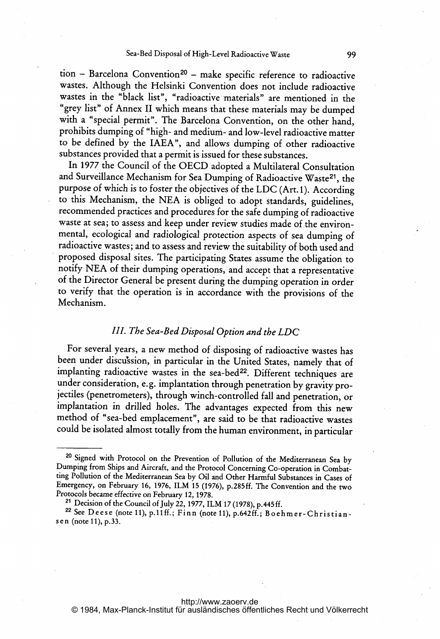$tion - Barcelona Convention<sup>20</sup> - make specific reference to radioactive$ wastes. Although the Helsinki Convention does not include radioactive wastes in the "black list", "radioactive materials" are mentioned in the "grey list" of Annex <sup>11</sup> which means that these materials may be dumped with <sup>a</sup> "special permit". The Barcelona Convention, on the other hand, prohibits dumping of "high- and medium- and low-level radioactive matter to be defined by the IAEA", and allows dumping of other radioactive substances provided that <sup>a</sup> permit is issued for these substances.

In <sup>1977</sup> the Council of the OECD adopted <sup>a</sup> Multilateral Consultation and Surveillance Mechanism for Sea Dumping of Radioactive Waste<sup>21</sup>, the purpose of which is to foster the objectives of the LDC (Art. 1). According to this Mechanism, the NEA is obliged to adopt standards, guidelines, recommended practices and procedures for the safe dumping of radioactive waste at sea; to assess and keep under review studies made of the environmental, ecological and radiological protection aspects of sea dumping of radioactive wastes; and to assess and review the suitability of both used and proposed disposal sites. The participating States assume the obligation to notify NEA of their dumping operations, and accept that <sup>a</sup> representative of the Director General be present during the dumping operation in order to verify that the operation is in accordance with the provisions of the Mechanism.

### III. The Sea-Bed Disposal Option and the LDC

For several years, <sup>a</sup> new method of disposing of radioactive wastes has been under discussion, in particular in the United States, namely that of implanting radioactive wastes in the sea-bed<sup>22</sup>. Different techniques are under consideration, e.g. implantation through penetration by gravity projectiles (penetrometers), through winch-controlled fall and penetration, or implantation in drilled holes. The advantages expected from this new method of "sea-bed emplacement", are said to be that radioactive wastes could be isolated almost totally from the human environment, in particular

<sup>&</sup>lt;sup>20</sup> Signed with Protocol on the Prevention of Pollution of the Mediterranean Sea by Dumping from Ships and Aircraft, and the Protocol Concerning Co-operation in Combatting Pollution of the Mediterranean Sea by Oil and Other Harmful Substances in Cases of Emergency, on February 16, 1976, ILM <sup>15</sup> (1976), p.285ff. The Convention and the two Protocols became effective on February 12, 1978.

<sup>21</sup> Decision of the Council of July 22, 1977, ILM <sup>17</sup> (1978), p. <sup>445</sup> ff.

<sup>22</sup> See Deese (note 11), p.11ff.; Finn (note 11), p.642ff.; Boehmer- Christians e n (note 11), p.33.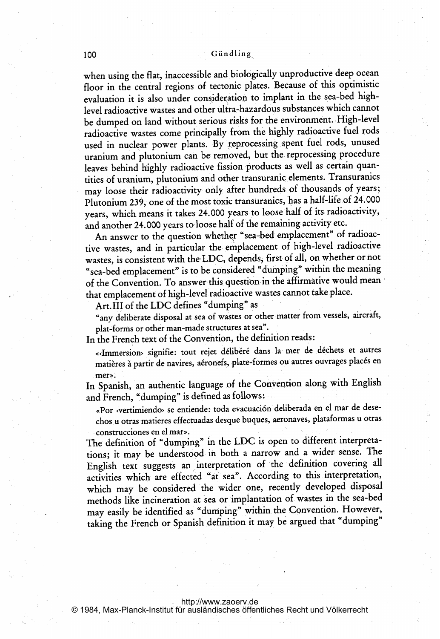#### 100 Gündling

when using the flat, inaccessible and biologically unproductive deep ocean floor in the central regions of tectonic plates. Because of this optimistic evaluation it is also under consideration to implant in the sea-bed highlevel radioactive wastes and other ulira-hazardous substances which cannot be dumped on land without serious risks for the environment. High-level radioactive wastes come principally from the highly radioactive fuel rods used in nuclear power plants. By'reprocessing spent fuel rods, unused uranium and plutonium can be removed, but the reprocessing procedure leaves behind highly radioactive fission products as well as certain quantities of uranium, plutonium. and other transuranic elements. Transuranics may loose their radioactivity only after hundreds of thousands of years; Plutonium 239, one of the most toxic transuranics, has a half-life of 24.000 years, which means it takes 24.000 years to loose half of its radioactivity, and another 24.000 years to loose half of the remaining activity etc.

An answer to the question whether "sea-bed emplacement" of radioactive wastes, and in particular the. emplacement of high-level radioactive wastes, is consistent with the LDC, depends, first of all, on whether or not "sea-bed emplacement" is to be considered "dumping" within the meaning of the Convention. To answer this question in the affirmative would mean that emplacement of high-level radioactive wastes cannot take place.

Art. III of the LDC defines "dumping" as

"any deliberate disposal at sea of wastes or other matter from vessels, aircraft, plat-forms or other man-made structures at sea".

In the French text of the Convention, the definition reads:

«Immersion» signifie: tout rejet délibéré dans la mer de déchets et autres matières à partir de navires, aéronefs, plate-formes ou autres ouvrages placés en mer».

In Spanish, an authentic language of the Convention along with English and French, "dumping" is defined as follows:

«Por «vertimiendo» se entiende: toda evacuación deliberada en el mar de desechos u otras matieres effectuadas desque buques, aeronaves, plataformas u otras construcciones en el mar».

The definition of "dumping" in the LDC is open to different interpretations; it may be understood. in both <sup>a</sup> narrow and <sup>a</sup> wider sense. The English text suggests an jnterpretation of the definition covering all activities which are effected "af sea". According to this interpretation, which may be considered the wider one, recently developed disposal methods like incineration at sea or implantation of wastes in the sea-bed may easily be identified as "dumping" within the Convention. However, taking the French or Spanish definition it may be argued that "dumping"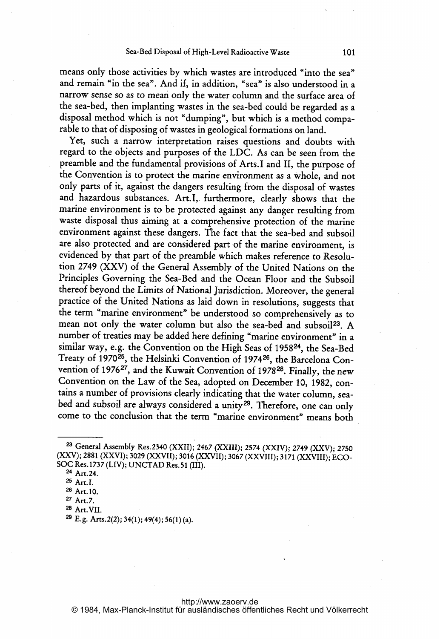means only those activities by which wastes are introduced "into the sea" and remain "in the sea". And if, in addition, "sea" is also understood in <sup>a</sup> narrow sense so as to mean only the water column and the surface area of the sea-bed, then implanting wastes in the sea-bed could be regarded as <sup>a</sup> disposal method which is not "dumping", but which is <sup>a</sup> method comparable to that of disposing of wastes in geological formations on land.

Yet, such <sup>a</sup> narrow interpretation raises questions and doubts with regard to the objects and purposes of the LDC. As can be seen from the preamble and the fundamental provisions of Arts.1 and II, the purpose of the Convention is to protect the marine environment as a whole, and not only parts of it, against the dangers resulting from the disposal of wastes and hazardous substances. Art.L. furthermore, clearly shows that the marine environment is to be protected against any danger resulting from waste disposal thus aiming at <sup>a</sup> comprehensive protection of the marine environment against these dangers. The fact that the sea-bed and subsoil are also protected and are considered part of the marine environment, is evidenced by that part of the preamble which makes reference to Resolution 2749 (XXV) of the General Assembly of the United Nations on the Principles Governing the Sea-Bed and the Ocean Floor and the Subsoil thereof beyond the Limits of National jurisdiction. Moreover, the general practice of the United Nations as laid down in resolutions, suggests that the term "marine environment" be understood so comprehensively as to mean not only the water column but also the sea-bed and subsoil<sup>23</sup>. A number of treaties may be added here defining "marine environment" in <sup>a</sup> similar way, e.g. the Convention on the High Seas of 195824, the Sea-Bed Treaty of 1970<sup>25</sup>, the Helsinki Convention of 1974<sup>26</sup>, the Barcelona Convention of 1976<sup>27</sup>, and the Kuwait Convention of 1978<sup>28</sup>. Finally, the new Convention on the Law of the Sea, adopted on December 10, 1982, contains <sup>a</sup> number of provisions clearly indicating that the water column, seabed and subsoil are always considered a unity<sup>29</sup>. Therefore, one can only come to the conclusion that the term "marine environment" means both

<sup>23</sup> General Assembly Res.2340 (XXII); <sup>2467</sup> (XXIII); <sup>2574</sup> (XXIV); <sup>2749</sup> (XXV); <sup>2750</sup> (XXV); 2881 (XXVI); 3029 (XXVII); 3016 (XXVII); 3067 (XXVIII); 3171 (XXVIII); ECO-SOC Res. <sup>1737</sup> (LIV); UNCTAD Res. <sup>51</sup> (111).

<sup>24</sup> Art. 24.

<sup>&</sup>lt;sup>25</sup> Art. I.

<sup>26</sup> Art. 10.

<sup>27</sup> Art. 7.

<sup>28</sup> Art.VII.

<sup>29</sup> E.g. Arts.2(2); 34(l); 49(4); 56(l) (a).